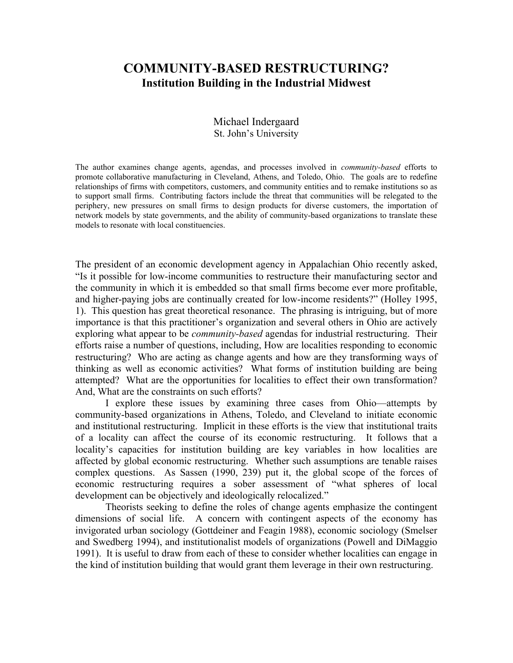# **COMMUNITY-BASED RESTRUCTURING? Institution Building in the Industrial Midwest**

## Michael Indergaard St. John's University

The author examines change agents, agendas, and processes involved in *community-based* efforts to promote collaborative manufacturing in Cleveland, Athens, and Toledo, Ohio. The goals are to redefine relationships of firms with competitors, customers, and community entities and to remake institutions so as to support small firms. Contributing factors include the threat that communities will be relegated to the periphery, new pressures on small firms to design products for diverse customers, the importation of network models by state governments, and the ability of community-based organizations to translate these models to resonate with local constituencies.

The president of an economic development agency in Appalachian Ohio recently asked, "Is it possible for low-income communities to restructure their manufacturing sector and the community in which it is embedded so that small firms become ever more profitable, and higher-paying jobs are continually created for low-income residents?" (Holley 1995, 1). This question has great theoretical resonance. The phrasing is intriguing, but of more importance is that this practitioner's organization and several others in Ohio are actively exploring what appear to be *community-based* agendas for industrial restructuring. Their efforts raise a number of questions, including, How are localities responding to economic restructuring? Who are acting as change agents and how are they transforming ways of thinking as well as economic activities? What forms of institution building are being attempted? What are the opportunities for localities to effect their own transformation? And, What are the constraints on such efforts?

 I explore these issues by examining three cases from Ohio—attempts by community-based organizations in Athens, Toledo, and Cleveland to initiate economic and institutional restructuring. Implicit in these efforts is the view that institutional traits of a locality can affect the course of its economic restructuring. It follows that a locality's capacities for institution building are key variables in how localities are affected by global economic restructuring. Whether such assumptions are tenable raises complex questions. As Sassen (1990, 239) put it, the global scope of the forces of economic restructuring requires a sober assessment of "what spheres of local development can be objectively and ideologically relocalized."

 Theorists seeking to define the roles of change agents emphasize the contingent dimensions of social life. A concern with contingent aspects of the economy has invigorated urban sociology (Gottdeiner and Feagin 1988), economic sociology (Smelser and Swedberg 1994), and institutionalist models of organizations (Powell and DiMaggio 1991). It is useful to draw from each of these to consider whether localities can engage in the kind of institution building that would grant them leverage in their own restructuring.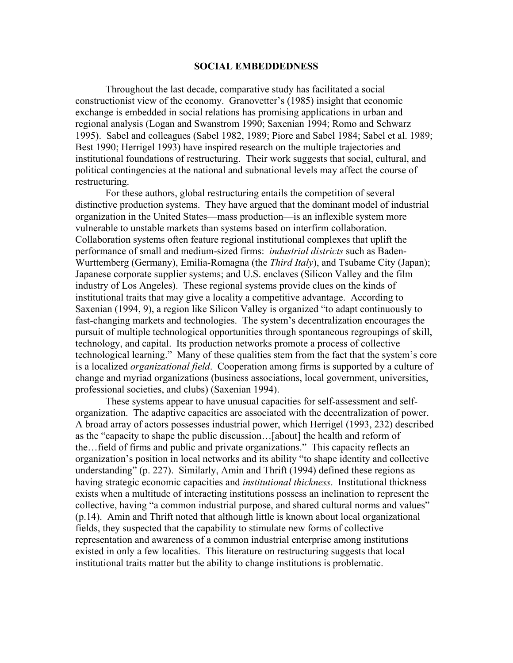#### **SOCIAL EMBEDDEDNESS**

 Throughout the last decade, comparative study has facilitated a social constructionist view of the economy. Granovetter's (1985) insight that economic exchange is embedded in social relations has promising applications in urban and regional analysis (Logan and Swanstrom 1990; Saxenian 1994; Romo and Schwarz 1995). Sabel and colleagues (Sabel 1982, 1989; Piore and Sabel 1984; Sabel et al. 1989; Best 1990; Herrigel 1993) have inspired research on the multiple trajectories and institutional foundations of restructuring. Their work suggests that social, cultural, and political contingencies at the national and subnational levels may affect the course of restructuring.

 For these authors, global restructuring entails the competition of several distinctive production systems. They have argued that the dominant model of industrial organization in the United States—mass production—is an inflexible system more vulnerable to unstable markets than systems based on interfirm collaboration. Collaboration systems often feature regional institutional complexes that uplift the performance of small and medium-sized firms: *industrial districts* such as Baden-Wurttemberg (Germany), Emilia-Romagna (the *Third Italy*), and Tsubame City (Japan); Japanese corporate supplier systems; and U.S. enclaves (Silicon Valley and the film industry of Los Angeles). These regional systems provide clues on the kinds of institutional traits that may give a locality a competitive advantage. According to Saxenian (1994, 9), a region like Silicon Valley is organized "to adapt continuously to fast-changing markets and technologies. The system's decentralization encourages the pursuit of multiple technological opportunities through spontaneous regroupings of skill, technology, and capital. Its production networks promote a process of collective technological learning." Many of these qualities stem from the fact that the system's core is a localized *organizational field*. Cooperation among firms is supported by a culture of change and myriad organizations (business associations, local government, universities, professional societies, and clubs) (Saxenian 1994).

 These systems appear to have unusual capacities for self-assessment and selforganization. The adaptive capacities are associated with the decentralization of power. A broad array of actors possesses industrial power, which Herrigel (1993, 232) described as the "capacity to shape the public discussion…[about] the health and reform of the…field of firms and public and private organizations." This capacity reflects an organization's position in local networks and its ability "to shape identity and collective understanding" (p. 227). Similarly, Amin and Thrift (1994) defined these regions as having strategic economic capacities and *institutional thickness*. Institutional thickness exists when a multitude of interacting institutions possess an inclination to represent the collective, having "a common industrial purpose, and shared cultural norms and values" (p.14). Amin and Thrift noted that although little is known about local organizational fields, they suspected that the capability to stimulate new forms of collective representation and awareness of a common industrial enterprise among institutions existed in only a few localities. This literature on restructuring suggests that local institutional traits matter but the ability to change institutions is problematic.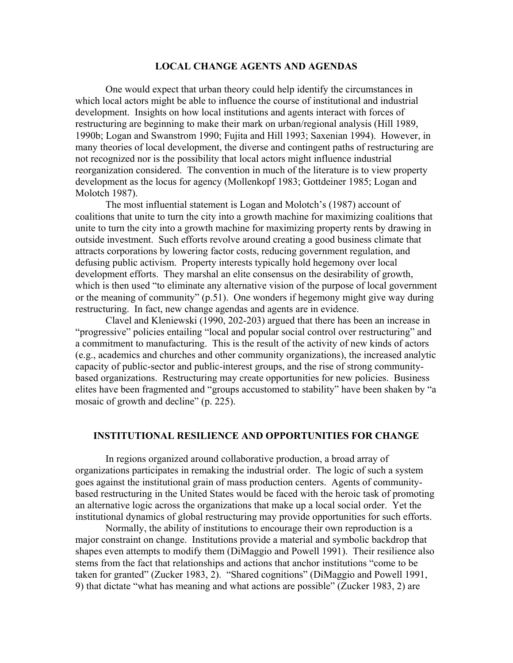#### **LOCAL CHANGE AGENTS AND AGENDAS**

 One would expect that urban theory could help identify the circumstances in which local actors might be able to influence the course of institutional and industrial development. Insights on how local institutions and agents interact with forces of restructuring are beginning to make their mark on urban/regional analysis (Hill 1989, 1990b; Logan and Swanstrom 1990; Fujita and Hill 1993; Saxenian 1994). However, in many theories of local development, the diverse and contingent paths of restructuring are not recognized nor is the possibility that local actors might influence industrial reorganization considered. The convention in much of the literature is to view property development as the locus for agency (Mollenkopf 1983; Gottdeiner 1985; Logan and Molotch 1987).

 The most influential statement is Logan and Molotch's (1987) account of coalitions that unite to turn the city into a growth machine for maximizing coalitions that unite to turn the city into a growth machine for maximizing property rents by drawing in outside investment. Such efforts revolve around creating a good business climate that attracts corporations by lowering factor costs, reducing government regulation, and defusing public activism. Property interests typically hold hegemony over local development efforts. They marshal an elite consensus on the desirability of growth, which is then used "to eliminate any alternative vision of the purpose of local government or the meaning of community" (p.51). One wonders if hegemony might give way during restructuring. In fact, new change agendas and agents are in evidence.

 Clavel and Kleniewski (1990, 202-203) argued that there has been an increase in "progressive" policies entailing "local and popular social control over restructuring" and a commitment to manufacturing. This is the result of the activity of new kinds of actors (e.g., academics and churches and other community organizations), the increased analytic capacity of public-sector and public-interest groups, and the rise of strong communitybased organizations. Restructuring may create opportunities for new policies. Business elites have been fragmented and "groups accustomed to stability" have been shaken by "a mosaic of growth and decline" (p. 225).

#### **INSTITUTIONAL RESILIENCE AND OPPORTUNITIES FOR CHANGE**

 In regions organized around collaborative production, a broad array of organizations participates in remaking the industrial order. The logic of such a system goes against the institutional grain of mass production centers. Agents of communitybased restructuring in the United States would be faced with the heroic task of promoting an alternative logic across the organizations that make up a local social order. Yet the institutional dynamics of global restructuring may provide opportunities for such efforts.

 Normally, the ability of institutions to encourage their own reproduction is a major constraint on change. Institutions provide a material and symbolic backdrop that shapes even attempts to modify them (DiMaggio and Powell 1991). Their resilience also stems from the fact that relationships and actions that anchor institutions "come to be taken for granted" (Zucker 1983, 2). "Shared cognitions" (DiMaggio and Powell 1991, 9) that dictate "what has meaning and what actions are possible" (Zucker 1983, 2) are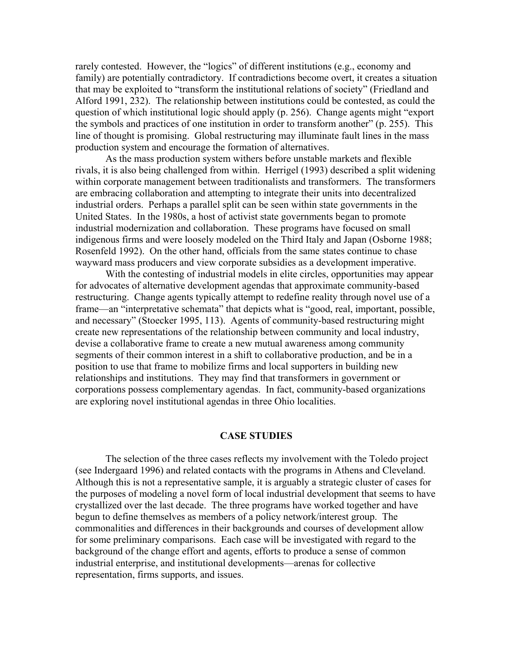rarely contested. However, the "logics" of different institutions (e.g., economy and family) are potentially contradictory. If contradictions become overt, it creates a situation that may be exploited to "transform the institutional relations of society" (Friedland and Alford 1991, 232). The relationship between institutions could be contested, as could the question of which institutional logic should apply (p. 256). Change agents might "export the symbols and practices of one institution in order to transform another" (p. 255). This line of thought is promising. Global restructuring may illuminate fault lines in the mass production system and encourage the formation of alternatives.

 As the mass production system withers before unstable markets and flexible rivals, it is also being challenged from within. Herrigel (1993) described a split widening within corporate management between traditionalists and transformers. The transformers are embracing collaboration and attempting to integrate their units into decentralized industrial orders. Perhaps a parallel split can be seen within state governments in the United States. In the 1980s, a host of activist state governments began to promote industrial modernization and collaboration. These programs have focused on small indigenous firms and were loosely modeled on the Third Italy and Japan (Osborne 1988; Rosenfeld 1992). On the other hand, officials from the same states continue to chase wayward mass producers and view corporate subsidies as a development imperative.

 With the contesting of industrial models in elite circles, opportunities may appear for advocates of alternative development agendas that approximate community-based restructuring. Change agents typically attempt to redefine reality through novel use of a frame—an "interpretative schemata" that depicts what is "good, real, important, possible, and necessary" (Stoecker 1995, 113). Agents of community-based restructuring might create new representations of the relationship between community and local industry, devise a collaborative frame to create a new mutual awareness among community segments of their common interest in a shift to collaborative production, and be in a position to use that frame to mobilize firms and local supporters in building new relationships and institutions. They may find that transformers in government or corporations possess complementary agendas. In fact, community-based organizations are exploring novel institutional agendas in three Ohio localities.

#### **CASE STUDIES**

 The selection of the three cases reflects my involvement with the Toledo project (see Indergaard 1996) and related contacts with the programs in Athens and Cleveland. Although this is not a representative sample, it is arguably a strategic cluster of cases for the purposes of modeling a novel form of local industrial development that seems to have crystallized over the last decade. The three programs have worked together and have begun to define themselves as members of a policy network/interest group. The commonalities and differences in their backgrounds and courses of development allow for some preliminary comparisons. Each case will be investigated with regard to the background of the change effort and agents, efforts to produce a sense of common industrial enterprise, and institutional developments—arenas for collective representation, firms supports, and issues.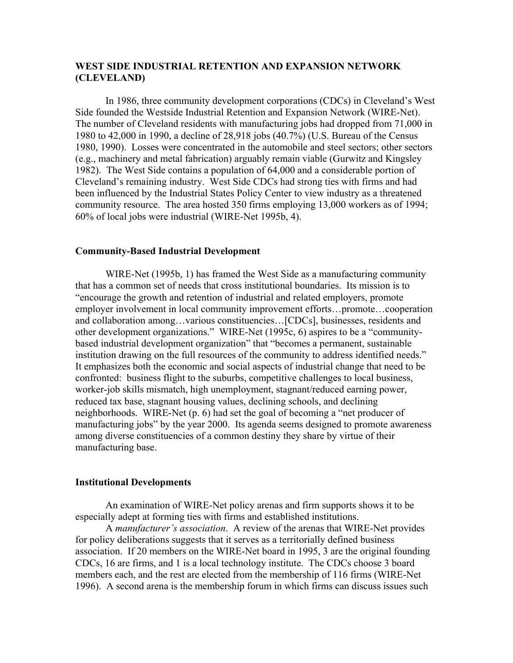## **WEST SIDE INDUSTRIAL RETENTION AND EXPANSION NETWORK (CLEVELAND)**

In 1986, three community development corporations (CDCs) in Cleveland's West Side founded the Westside Industrial Retention and Expansion Network (WIRE-Net). The number of Cleveland residents with manufacturing jobs had dropped from 71,000 in 1980 to 42,000 in 1990, a decline of 28,918 jobs (40.7%) (U.S. Bureau of the Census 1980, 1990). Losses were concentrated in the automobile and steel sectors; other sectors (e.g., machinery and metal fabrication) arguably remain viable (Gurwitz and Kingsley 1982). The West Side contains a population of 64,000 and a considerable portion of Cleveland's remaining industry. West Side CDCs had strong ties with firms and had been influenced by the Industrial States Policy Center to view industry as a threatened community resource. The area hosted 350 firms employing 13,000 workers as of 1994; 60% of local jobs were industrial (WIRE-Net 1995b, 4).

## **Community-Based Industrial Development**

 WIRE-Net (1995b, 1) has framed the West Side as a manufacturing community that has a common set of needs that cross institutional boundaries. Its mission is to "encourage the growth and retention of industrial and related employers, promote employer involvement in local community improvement efforts…promote…cooperation and collaboration among…various constituencies…[CDCs], businesses, residents and other development organizations." WIRE-Net (1995c, 6) aspires to be a "communitybased industrial development organization" that "becomes a permanent, sustainable institution drawing on the full resources of the community to address identified needs." It emphasizes both the economic and social aspects of industrial change that need to be confronted: business flight to the suburbs, competitive challenges to local business, worker-job skills mismatch, high unemployment, stagnant/reduced earning power, reduced tax base, stagnant housing values, declining schools, and declining neighborhoods. WIRE-Net (p. 6) had set the goal of becoming a "net producer of manufacturing jobs" by the year 2000. Its agenda seems designed to promote awareness among diverse constituencies of a common destiny they share by virtue of their manufacturing base.

## **Institutional Developments**

 An examination of WIRE-Net policy arenas and firm supports shows it to be especially adept at forming ties with firms and established institutions.

 A *manufacturer's association*. A review of the arenas that WIRE-Net provides for policy deliberations suggests that it serves as a territorially defined business association. If 20 members on the WIRE-Net board in 1995, 3 are the original founding CDCs, 16 are firms, and 1 is a local technology institute. The CDCs choose 3 board members each, and the rest are elected from the membership of 116 firms (WIRE-Net 1996). A second arena is the membership forum in which firms can discuss issues such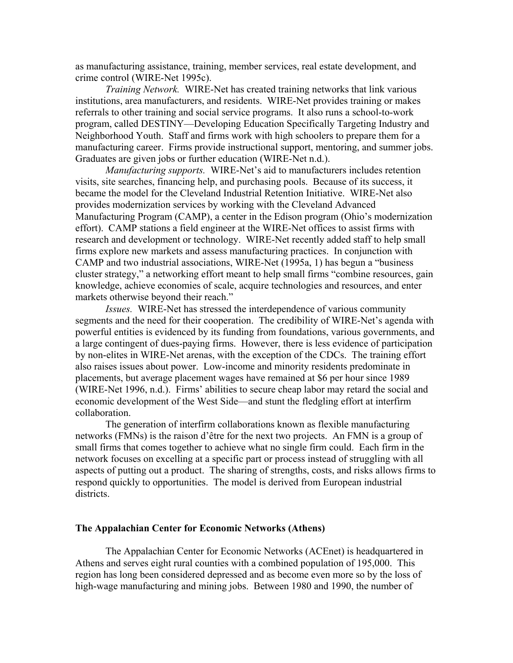as manufacturing assistance, training, member services, real estate development, and crime control (WIRE-Net 1995c).

*Training Network.* WIRE-Net has created training networks that link various institutions, area manufacturers, and residents. WIRE-Net provides training or makes referrals to other training and social service programs. It also runs a school-to-work program, called DESTINY—Developing Education Specifically Targeting Industry and Neighborhood Youth. Staff and firms work with high schoolers to prepare them for a manufacturing career. Firms provide instructional support, mentoring, and summer jobs. Graduates are given jobs or further education (WIRE-Net n.d.).

*Manufacturing supports.* WIRE-Net's aid to manufacturers includes retention visits, site searches, financing help, and purchasing pools. Because of its success, it became the model for the Cleveland Industrial Retention Initiative. WIRE-Net also provides modernization services by working with the Cleveland Advanced Manufacturing Program (CAMP), a center in the Edison program (Ohio's modernization effort). CAMP stations a field engineer at the WIRE-Net offices to assist firms with research and development or technology. WIRE-Net recently added staff to help small firms explore new markets and assess manufacturing practices. In conjunction with CAMP and two industrial associations, WIRE-Net (1995a, 1) has begun a "business cluster strategy," a networking effort meant to help small firms "combine resources, gain knowledge, achieve economies of scale, acquire technologies and resources, and enter markets otherwise beyond their reach."

*Issues.* WIRE-Net has stressed the interdependence of various community segments and the need for their cooperation. The credibility of WIRE-Net's agenda with powerful entities is evidenced by its funding from foundations, various governments, and a large contingent of dues-paying firms. However, there is less evidence of participation by non-elites in WIRE-Net arenas, with the exception of the CDCs. The training effort also raises issues about power. Low-income and minority residents predominate in placements, but average placement wages have remained at \$6 per hour since 1989 (WIRE-Net 1996, n.d.). Firms' abilities to secure cheap labor may retard the social and economic development of the West Side—and stunt the fledgling effort at interfirm collaboration.

 The generation of interfirm collaborations known as flexible manufacturing networks (FMNs) is the raison d'être for the next two projects. An FMN is a group of small firms that comes together to achieve what no single firm could. Each firm in the network focuses on excelling at a specific part or process instead of struggling with all aspects of putting out a product. The sharing of strengths, costs, and risks allows firms to respond quickly to opportunities. The model is derived from European industrial districts.

#### **The Appalachian Center for Economic Networks (Athens)**

 The Appalachian Center for Economic Networks (ACEnet) is headquartered in Athens and serves eight rural counties with a combined population of 195,000. This region has long been considered depressed and as become even more so by the loss of high-wage manufacturing and mining jobs. Between 1980 and 1990, the number of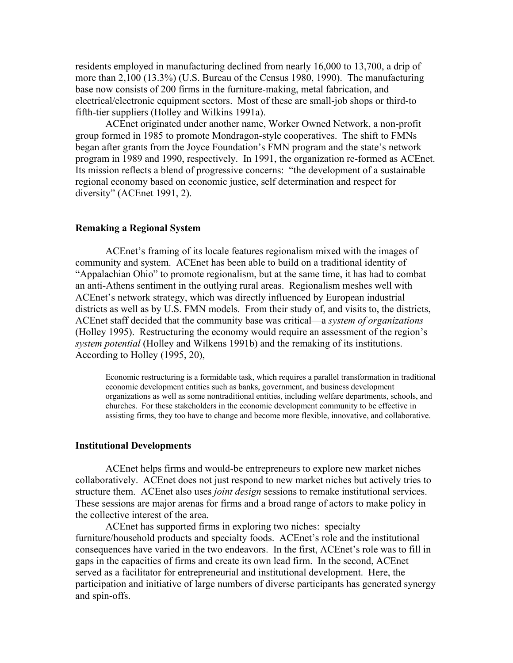residents employed in manufacturing declined from nearly 16,000 to 13,700, a drip of more than 2,100 (13.3%) (U.S. Bureau of the Census 1980, 1990). The manufacturing base now consists of 200 firms in the furniture-making, metal fabrication, and electrical/electronic equipment sectors. Most of these are small-job shops or third-to fifth-tier suppliers (Holley and Wilkins 1991a).

 ACEnet originated under another name, Worker Owned Network, a non-profit group formed in 1985 to promote Mondragon-style cooperatives. The shift to FMNs began after grants from the Joyce Foundation's FMN program and the state's network program in 1989 and 1990, respectively. In 1991, the organization re-formed as ACEnet. Its mission reflects a blend of progressive concerns: "the development of a sustainable regional economy based on economic justice, self determination and respect for diversity" (ACEnet 1991, 2).

## **Remaking a Regional System**

 ACEnet's framing of its locale features regionalism mixed with the images of community and system. ACEnet has been able to build on a traditional identity of "Appalachian Ohio" to promote regionalism, but at the same time, it has had to combat an anti-Athens sentiment in the outlying rural areas. Regionalism meshes well with ACEnet's network strategy, which was directly influenced by European industrial districts as well as by U.S. FMN models. From their study of, and visits to, the districts, ACEnet staff decided that the community base was critical—a *system of organizations* (Holley 1995). Restructuring the economy would require an assessment of the region's *system potential* (Holley and Wilkens 1991b) and the remaking of its institutions. According to Holley (1995, 20),

Economic restructuring is a formidable task, which requires a parallel transformation in traditional economic development entities such as banks, government, and business development organizations as well as some nontraditional entities, including welfare departments, schools, and churches. For these stakeholders in the economic development community to be effective in assisting firms, they too have to change and become more flexible, innovative, and collaborative.

#### **Institutional Developments**

 ACEnet helps firms and would-be entrepreneurs to explore new market niches collaboratively. ACEnet does not just respond to new market niches but actively tries to structure them. ACEnet also uses *joint design* sessions to remake institutional services. These sessions are major arenas for firms and a broad range of actors to make policy in the collective interest of the area.

 ACEnet has supported firms in exploring two niches: specialty furniture/household products and specialty foods. ACEnet's role and the institutional consequences have varied in the two endeavors. In the first, ACEnet's role was to fill in gaps in the capacities of firms and create its own lead firm. In the second, ACEnet served as a facilitator for entrepreneurial and institutional development. Here, the participation and initiative of large numbers of diverse participants has generated synergy and spin-offs.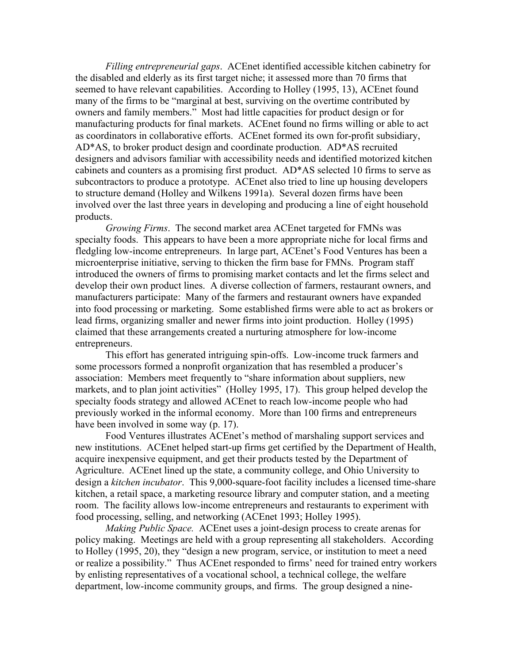*Filling entrepreneurial gaps*. ACEnet identified accessible kitchen cabinetry for the disabled and elderly as its first target niche; it assessed more than 70 firms that seemed to have relevant capabilities. According to Holley (1995, 13), ACEnet found many of the firms to be "marginal at best, surviving on the overtime contributed by owners and family members." Most had little capacities for product design or for manufacturing products for final markets. ACEnet found no firms willing or able to act as coordinators in collaborative efforts. ACEnet formed its own for-profit subsidiary, AD\*AS, to broker product design and coordinate production. AD\*AS recruited designers and advisors familiar with accessibility needs and identified motorized kitchen cabinets and counters as a promising first product. AD\*AS selected 10 firms to serve as subcontractors to produce a prototype. ACEnet also tried to line up housing developers to structure demand (Holley and Wilkens 1991a). Several dozen firms have been involved over the last three years in developing and producing a line of eight household products.

*Growing Firms*. The second market area ACEnet targeted for FMNs was specialty foods. This appears to have been a more appropriate niche for local firms and fledgling low-income entrepreneurs. In large part, ACEnet's Food Ventures has been a microenterprise initiative, serving to thicken the firm base for FMNs. Program staff introduced the owners of firms to promising market contacts and let the firms select and develop their own product lines. A diverse collection of farmers, restaurant owners, and manufacturers participate: Many of the farmers and restaurant owners have expanded into food processing or marketing. Some established firms were able to act as brokers or lead firms, organizing smaller and newer firms into joint production. Holley (1995) claimed that these arrangements created a nurturing atmosphere for low-income entrepreneurs.

 This effort has generated intriguing spin-offs. Low-income truck farmers and some processors formed a nonprofit organization that has resembled a producer's association: Members meet frequently to "share information about suppliers, new markets, and to plan joint activities" (Holley 1995, 17). This group helped develop the specialty foods strategy and allowed ACEnet to reach low-income people who had previously worked in the informal economy. More than 100 firms and entrepreneurs have been involved in some way (p. 17).

 Food Ventures illustrates ACEnet's method of marshaling support services and new institutions. ACEnet helped start-up firms get certified by the Department of Health, acquire inexpensive equipment, and get their products tested by the Department of Agriculture. ACEnet lined up the state, a community college, and Ohio University to design a *kitchen incubator*. This 9,000-square-foot facility includes a licensed time-share kitchen, a retail space, a marketing resource library and computer station, and a meeting room. The facility allows low-income entrepreneurs and restaurants to experiment with food processing, selling, and networking (ACEnet 1993; Holley 1995).

 *Making Public Space.* ACEnet uses a joint-design process to create arenas for policy making. Meetings are held with a group representing all stakeholders. According to Holley (1995, 20), they "design a new program, service, or institution to meet a need or realize a possibility." Thus ACEnet responded to firms' need for trained entry workers by enlisting representatives of a vocational school, a technical college, the welfare department, low-income community groups, and firms. The group designed a nine-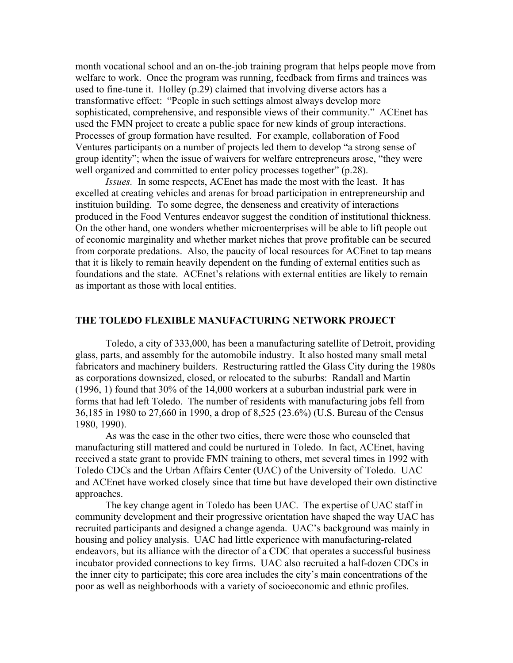month vocational school and an on-the-job training program that helps people move from welfare to work. Once the program was running, feedback from firms and trainees was used to fine-tune it. Holley (p.29) claimed that involving diverse actors has a transformative effect: "People in such settings almost always develop more sophisticated, comprehensive, and responsible views of their community." ACEnet has used the FMN project to create a public space for new kinds of group interactions. Processes of group formation have resulted. For example, collaboration of Food Ventures participants on a number of projects led them to develop "a strong sense of group identity"; when the issue of waivers for welfare entrepreneurs arose, "they were well organized and committed to enter policy processes together" (p.28).

*Issues.* In some respects, ACEnet has made the most with the least. It has excelled at creating vehicles and arenas for broad participation in entrepreneurship and instituion building. To some degree, the denseness and creativity of interactions produced in the Food Ventures endeavor suggest the condition of institutional thickness. On the other hand, one wonders whether microenterprises will be able to lift people out of economic marginality and whether market niches that prove profitable can be secured from corporate predations. Also, the paucity of local resources for ACEnet to tap means that it is likely to remain heavily dependent on the funding of external entities such as foundations and the state. ACEnet's relations with external entities are likely to remain as important as those with local entities.

#### **THE TOLEDO FLEXIBLE MANUFACTURING NETWORK PROJECT**

 Toledo, a city of 333,000, has been a manufacturing satellite of Detroit, providing glass, parts, and assembly for the automobile industry. It also hosted many small metal fabricators and machinery builders. Restructuring rattled the Glass City during the 1980s as corporations downsized, closed, or relocated to the suburbs: Randall and Martin (1996, 1) found that 30% of the 14,000 workers at a suburban industrial park were in forms that had left Toledo. The number of residents with manufacturing jobs fell from 36,185 in 1980 to 27,660 in 1990, a drop of 8,525 (23.6%) (U.S. Bureau of the Census 1980, 1990).

 As was the case in the other two cities, there were those who counseled that manufacturing still mattered and could be nurtured in Toledo. In fact, ACEnet, having received a state grant to provide FMN training to others, met several times in 1992 with Toledo CDCs and the Urban Affairs Center (UAC) of the University of Toledo. UAC and ACEnet have worked closely since that time but have developed their own distinctive approaches.

 The key change agent in Toledo has been UAC. The expertise of UAC staff in community development and their progressive orientation have shaped the way UAC has recruited participants and designed a change agenda. UAC's background was mainly in housing and policy analysis. UAC had little experience with manufacturing-related endeavors, but its alliance with the director of a CDC that operates a successful business incubator provided connections to key firms. UAC also recruited a half-dozen CDCs in the inner city to participate; this core area includes the city's main concentrations of the poor as well as neighborhoods with a variety of socioeconomic and ethnic profiles.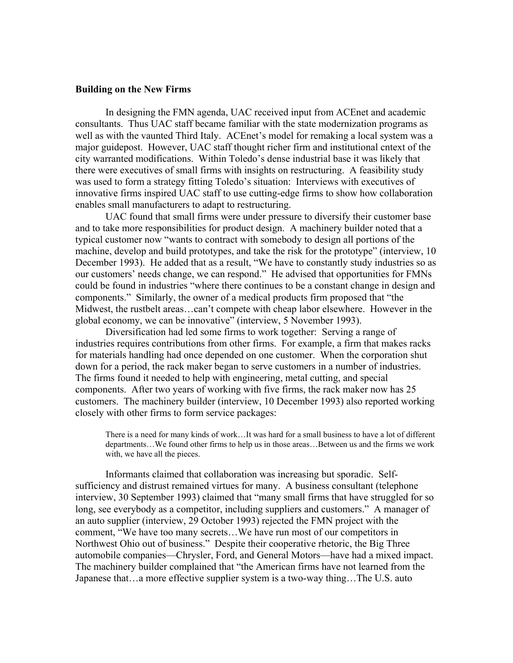#### **Building on the New Firms**

In designing the FMN agenda, UAC received input from ACEnet and academic consultants. Thus UAC staff became familiar with the state modernization programs as well as with the vaunted Third Italy. ACEnet's model for remaking a local system was a major guidepost. However, UAC staff thought richer firm and institutional cntext of the city warranted modifications. Within Toledo's dense industrial base it was likely that there were executives of small firms with insights on restructuring. A feasibility study was used to form a strategy fitting Toledo's situation: Interviews with executives of innovative firms inspired UAC staff to use cutting-edge firms to show how collaboration enables small manufacturers to adapt to restructuring.

 UAC found that small firms were under pressure to diversify their customer base and to take more responsibilities for product design. A machinery builder noted that a typical customer now "wants to contract with somebody to design all portions of the machine, develop and build prototypes, and take the risk for the prototype" (interview, 10 December 1993). He added that as a result, "We have to constantly study industries so as our customers' needs change, we can respond." He advised that opportunities for FMNs could be found in industries "where there continues to be a constant change in design and components." Similarly, the owner of a medical products firm proposed that "the Midwest, the rustbelt areas…can't compete with cheap labor elsewhere. However in the global economy, we can be innovative" (interview, 5 November 1993).

 Diversification had led some firms to work together: Serving a range of industries requires contributions from other firms. For example, a firm that makes racks for materials handling had once depended on one customer. When the corporation shut down for a period, the rack maker began to serve customers in a number of industries. The firms found it needed to help with engineering, metal cutting, and special components. After two years of working with five firms, the rack maker now has 25 customers. The machinery builder (interview, 10 December 1993) also reported working closely with other firms to form service packages:

There is a need for many kinds of work…It was hard for a small business to have a lot of different departments…We found other firms to help us in those areas…Between us and the firms we work with, we have all the pieces.

 Informants claimed that collaboration was increasing but sporadic. Selfsufficiency and distrust remained virtues for many. A business consultant (telephone interview, 30 September 1993) claimed that "many small firms that have struggled for so long, see everybody as a competitor, including suppliers and customers." A manager of an auto supplier (interview, 29 October 1993) rejected the FMN project with the comment, "We have too many secrets…We have run most of our competitors in Northwest Ohio out of business." Despite their cooperative rhetoric, the Big Three automobile companies—Chrysler, Ford, and General Motors—have had a mixed impact. The machinery builder complained that "the American firms have not learned from the Japanese that…a more effective supplier system is a two-way thing…The U.S. auto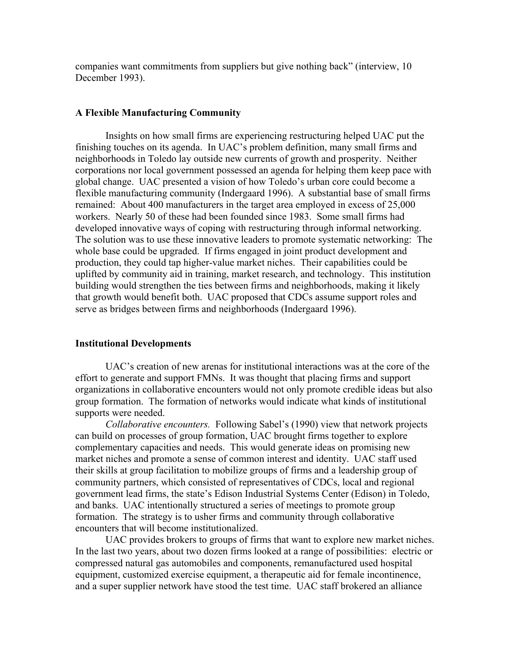companies want commitments from suppliers but give nothing back" (interview, 10 December 1993).

## **A Flexible Manufacturing Community**

 Insights on how small firms are experiencing restructuring helped UAC put the finishing touches on its agenda. In UAC's problem definition, many small firms and neighborhoods in Toledo lay outside new currents of growth and prosperity. Neither corporations nor local government possessed an agenda for helping them keep pace with global change. UAC presented a vision of how Toledo's urban core could become a flexible manufacturing community (Indergaard 1996). A substantial base of small firms remained: About 400 manufacturers in the target area employed in excess of 25,000 workers. Nearly 50 of these had been founded since 1983. Some small firms had developed innovative ways of coping with restructuring through informal networking. The solution was to use these innovative leaders to promote systematic networking: The whole base could be upgraded. If firms engaged in joint product development and production, they could tap higher-value market niches. Their capabilities could be uplifted by community aid in training, market research, and technology. This institution building would strengthen the ties between firms and neighborhoods, making it likely that growth would benefit both. UAC proposed that CDCs assume support roles and serve as bridges between firms and neighborhoods (Indergaard 1996).

## **Institutional Developments**

 UAC's creation of new arenas for institutional interactions was at the core of the effort to generate and support FMNs. It was thought that placing firms and support organizations in collaborative encounters would not only promote credible ideas but also group formation. The formation of networks would indicate what kinds of institutional supports were needed.

*Collaborative encounters.* Following Sabel's (1990) view that network projects can build on processes of group formation, UAC brought firms together to explore complementary capacities and needs. This would generate ideas on promising new market niches and promote a sense of common interest and identity. UAC staff used their skills at group facilitation to mobilize groups of firms and a leadership group of community partners, which consisted of representatives of CDCs, local and regional government lead firms, the state's Edison Industrial Systems Center (Edison) in Toledo, and banks. UAC intentionally structured a series of meetings to promote group formation. The strategy is to usher firms and community through collaborative encounters that will become institutionalized.

 UAC provides brokers to groups of firms that want to explore new market niches. In the last two years, about two dozen firms looked at a range of possibilities: electric or compressed natural gas automobiles and components, remanufactured used hospital equipment, customized exercise equipment, a therapeutic aid for female incontinence, and a super supplier network have stood the test time. UAC staff brokered an alliance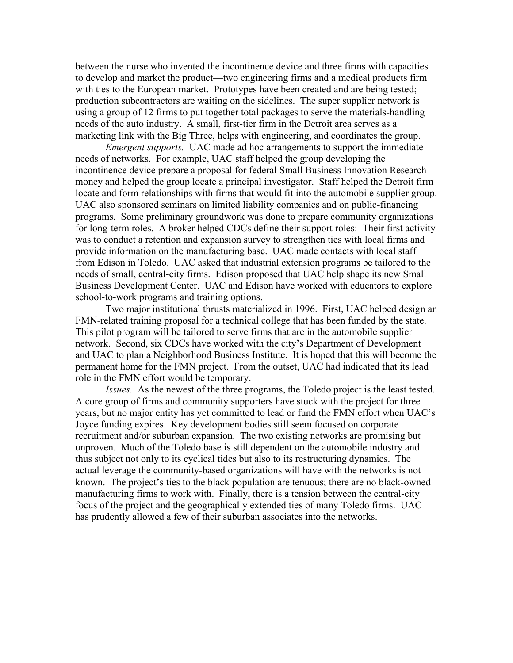between the nurse who invented the incontinence device and three firms with capacities to develop and market the product—two engineering firms and a medical products firm with ties to the European market. Prototypes have been created and are being tested; production subcontractors are waiting on the sidelines. The super supplier network is using a group of 12 firms to put together total packages to serve the materials-handling needs of the auto industry. A small, first-tier firm in the Detroit area serves as a marketing link with the Big Three, helps with engineering, and coordinates the group.

*Emergent supports.* UAC made ad hoc arrangements to support the immediate needs of networks. For example, UAC staff helped the group developing the incontinence device prepare a proposal for federal Small Business Innovation Research money and helped the group locate a principal investigator. Staff helped the Detroit firm locate and form relationships with firms that would fit into the automobile supplier group. UAC also sponsored seminars on limited liability companies and on public-financing programs. Some preliminary groundwork was done to prepare community organizations for long-term roles. A broker helped CDCs define their support roles: Their first activity was to conduct a retention and expansion survey to strengthen ties with local firms and provide information on the manufacturing base. UAC made contacts with local staff from Edison in Toledo. UAC asked that industrial extension programs be tailored to the needs of small, central-city firms. Edison proposed that UAC help shape its new Small Business Development Center. UAC and Edison have worked with educators to explore school-to-work programs and training options.

 Two major institutional thrusts materialized in 1996. First, UAC helped design an FMN-related training proposal for a technical college that has been funded by the state. This pilot program will be tailored to serve firms that are in the automobile supplier network. Second, six CDCs have worked with the city's Department of Development and UAC to plan a Neighborhood Business Institute. It is hoped that this will become the permanent home for the FMN project. From the outset, UAC had indicated that its lead role in the FMN effort would be temporary.

*Issues.* As the newest of the three programs, the Toledo project is the least tested. A core group of firms and community supporters have stuck with the project for three years, but no major entity has yet committed to lead or fund the FMN effort when UAC's Joyce funding expires. Key development bodies still seem focused on corporate recruitment and/or suburban expansion. The two existing networks are promising but unproven. Much of the Toledo base is still dependent on the automobile industry and thus subject not only to its cyclical tides but also to its restructuring dynamics. The actual leverage the community-based organizations will have with the networks is not known. The project's ties to the black population are tenuous; there are no black-owned manufacturing firms to work with. Finally, there is a tension between the central-city focus of the project and the geographically extended ties of many Toledo firms. UAC has prudently allowed a few of their suburban associates into the networks.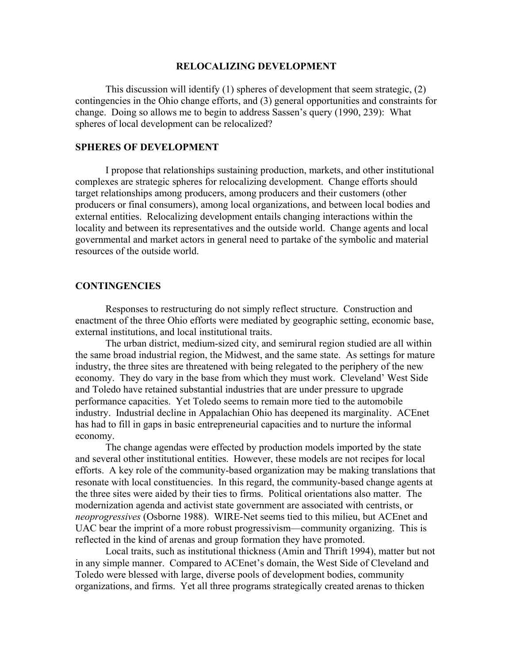#### **RELOCALIZING DEVELOPMENT**

 This discussion will identify (1) spheres of development that seem strategic, (2) contingencies in the Ohio change efforts, and (3) general opportunities and constraints for change. Doing so allows me to begin to address Sassen's query (1990, 239): What spheres of local development can be relocalized?

## **SPHERES OF DEVELOPMENT**

 I propose that relationships sustaining production, markets, and other institutional complexes are strategic spheres for relocalizing development. Change efforts should target relationships among producers, among producers and their customers (other producers or final consumers), among local organizations, and between local bodies and external entities. Relocalizing development entails changing interactions within the locality and between its representatives and the outside world. Change agents and local governmental and market actors in general need to partake of the symbolic and material resources of the outside world.

### **CONTINGENCIES**

 Responses to restructuring do not simply reflect structure. Construction and enactment of the three Ohio efforts were mediated by geographic setting, economic base, external institutions, and local institutional traits.

 The urban district, medium-sized city, and semirural region studied are all within the same broad industrial region, the Midwest, and the same state. As settings for mature industry, the three sites are threatened with being relegated to the periphery of the new economy. They do vary in the base from which they must work. Cleveland' West Side and Toledo have retained substantial industries that are under pressure to upgrade performance capacities. Yet Toledo seems to remain more tied to the automobile industry. Industrial decline in Appalachian Ohio has deepened its marginality. ACEnet has had to fill in gaps in basic entrepreneurial capacities and to nurture the informal economy.

 The change agendas were effected by production models imported by the state and several other institutional entities. However, these models are not recipes for local efforts. A key role of the community-based organization may be making translations that resonate with local constituencies. In this regard, the community-based change agents at the three sites were aided by their ties to firms. Political orientations also matter. The modernization agenda and activist state government are associated with centrists, or *neoprogressives* (Osborne 1988). WIRE-Net seems tied to this milieu, but ACEnet and UAC bear the imprint of a more robust progressivism—community organizing. This is reflected in the kind of arenas and group formation they have promoted.

 Local traits, such as institutional thickness (Amin and Thrift 1994), matter but not in any simple manner. Compared to ACEnet's domain, the West Side of Cleveland and Toledo were blessed with large, diverse pools of development bodies, community organizations, and firms. Yet all three programs strategically created arenas to thicken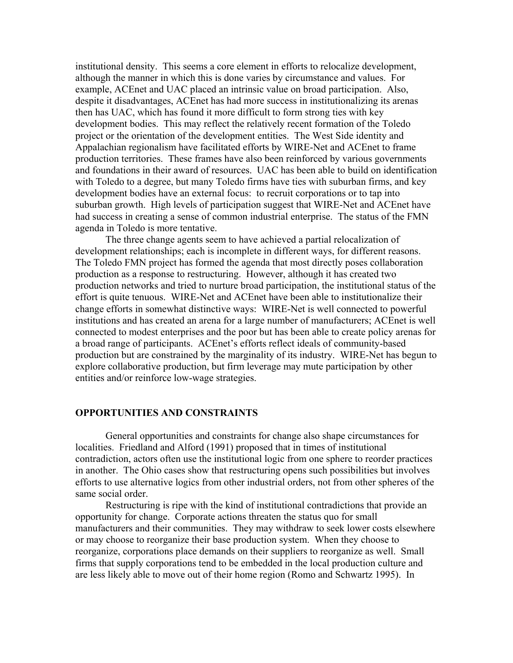institutional density. This seems a core element in efforts to relocalize development, although the manner in which this is done varies by circumstance and values. For example, ACEnet and UAC placed an intrinsic value on broad participation. Also, despite it disadvantages, ACEnet has had more success in institutionalizing its arenas then has UAC, which has found it more difficult to form strong ties with key development bodies. This may reflect the relatively recent formation of the Toledo project or the orientation of the development entities. The West Side identity and Appalachian regionalism have facilitated efforts by WIRE-Net and ACEnet to frame production territories. These frames have also been reinforced by various governments and foundations in their award of resources. UAC has been able to build on identification with Toledo to a degree, but many Toledo firms have ties with suburban firms, and key development bodies have an external focus: to recruit corporations or to tap into suburban growth. High levels of participation suggest that WIRE-Net and ACEnet have had success in creating a sense of common industrial enterprise. The status of the FMN agenda in Toledo is more tentative.

 The three change agents seem to have achieved a partial relocalization of development relationships; each is incomplete in different ways, for different reasons. The Toledo FMN project has formed the agenda that most directly poses collaboration production as a response to restructuring. However, although it has created two production networks and tried to nurture broad participation, the institutional status of the effort is quite tenuous. WIRE-Net and ACEnet have been able to institutionalize their change efforts in somewhat distinctive ways: WIRE-Net is well connected to powerful institutions and has created an arena for a large number of manufacturers; ACEnet is well connected to modest enterprises and the poor but has been able to create policy arenas for a broad range of participants. ACEnet's efforts reflect ideals of community-based production but are constrained by the marginality of its industry. WIRE-Net has begun to explore collaborative production, but firm leverage may mute participation by other entities and/or reinforce low-wage strategies.

#### **OPPORTUNITIES AND CONSTRAINTS**

 General opportunities and constraints for change also shape circumstances for localities. Friedland and Alford (1991) proposed that in times of institutional contradiction, actors often use the institutional logic from one sphere to reorder practices in another. The Ohio cases show that restructuring opens such possibilities but involves efforts to use alternative logics from other industrial orders, not from other spheres of the same social order.

 Restructuring is ripe with the kind of institutional contradictions that provide an opportunity for change. Corporate actions threaten the status quo for small manufacturers and their communities. They may withdraw to seek lower costs elsewhere or may choose to reorganize their base production system. When they choose to reorganize, corporations place demands on their suppliers to reorganize as well. Small firms that supply corporations tend to be embedded in the local production culture and are less likely able to move out of their home region (Romo and Schwartz 1995). In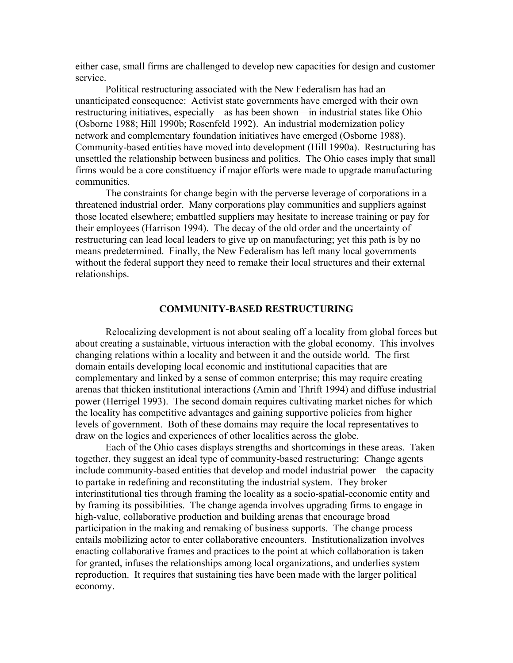either case, small firms are challenged to develop new capacities for design and customer service.

 Political restructuring associated with the New Federalism has had an unanticipated consequence: Activist state governments have emerged with their own restructuring initiatives, especially—as has been shown—in industrial states like Ohio (Osborne 1988; Hill 1990b; Rosenfeld 1992). An industrial modernization policy network and complementary foundation initiatives have emerged (Osborne 1988). Community-based entities have moved into development (Hill 1990a). Restructuring has unsettled the relationship between business and politics. The Ohio cases imply that small firms would be a core constituency if major efforts were made to upgrade manufacturing communities.

 The constraints for change begin with the perverse leverage of corporations in a threatened industrial order. Many corporations play communities and suppliers against those located elsewhere; embattled suppliers may hesitate to increase training or pay for their employees (Harrison 1994). The decay of the old order and the uncertainty of restructuring can lead local leaders to give up on manufacturing; yet this path is by no means predetermined. Finally, the New Federalism has left many local governments without the federal support they need to remake their local structures and their external relationships.

#### **COMMUNITY-BASED RESTRUCTURING**

 Relocalizing development is not about sealing off a locality from global forces but about creating a sustainable, virtuous interaction with the global economy. This involves changing relations within a locality and between it and the outside world. The first domain entails developing local economic and institutional capacities that are complementary and linked by a sense of common enterprise; this may require creating arenas that thicken institutional interactions (Amin and Thrift 1994) and diffuse industrial power (Herrigel 1993). The second domain requires cultivating market niches for which the locality has competitive advantages and gaining supportive policies from higher levels of government. Both of these domains may require the local representatives to draw on the logics and experiences of other localities across the globe.

 Each of the Ohio cases displays strengths and shortcomings in these areas. Taken together, they suggest an ideal type of community-based restructuring: Change agents include community-based entities that develop and model industrial power—the capacity to partake in redefining and reconstituting the industrial system. They broker interinstitutional ties through framing the locality as a socio-spatial-economic entity and by framing its possibilities. The change agenda involves upgrading firms to engage in high-value, collaborative production and building arenas that encourage broad participation in the making and remaking of business supports. The change process entails mobilizing actor to enter collaborative encounters. Institutionalization involves enacting collaborative frames and practices to the point at which collaboration is taken for granted, infuses the relationships among local organizations, and underlies system reproduction. It requires that sustaining ties have been made with the larger political economy.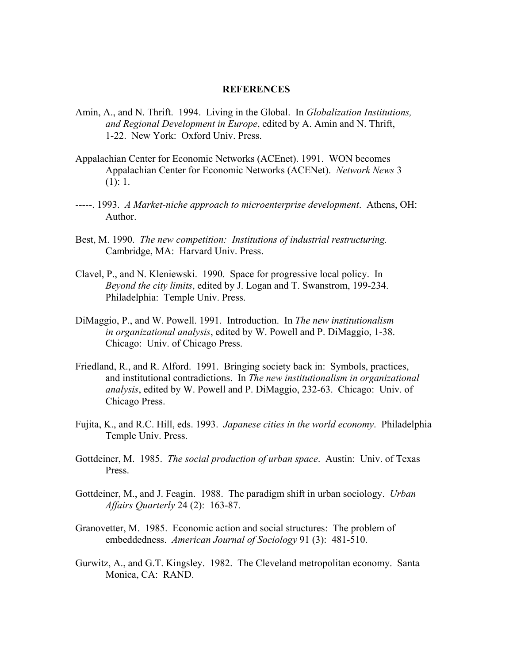#### **REFERENCES**

- Amin, A., and N. Thrift. 1994. Living in the Global. In *Globalization Institutions, and Regional Development in Europe*, edited by A. Amin and N. Thrift, 1-22. New York: Oxford Univ. Press.
- Appalachian Center for Economic Networks (ACEnet). 1991. WON becomes Appalachian Center for Economic Networks (ACENet). *Network News* 3  $(1): 1.$
- -----. 1993. *A Market-niche approach to microenterprise development*. Athens, OH: Author.
- Best, M. 1990. *The new competition: Institutions of industrial restructuring.* Cambridge, MA: Harvard Univ. Press.
- Clavel, P., and N. Kleniewski. 1990. Space for progressive local policy. In *Beyond the city limits*, edited by J. Logan and T. Swanstrom, 199-234. Philadelphia: Temple Univ. Press.
- DiMaggio, P., and W. Powell. 1991. Introduction. In *The new institutionalism in organizational analysis*, edited by W. Powell and P. DiMaggio, 1-38. Chicago: Univ. of Chicago Press.
- Friedland, R., and R. Alford. 1991. Bringing society back in: Symbols, practices, and institutional contradictions. In *The new institutionalism in organizational analysis*, edited by W. Powell and P. DiMaggio, 232-63. Chicago: Univ. of Chicago Press.
- Fujita, K., and R.C. Hill, eds. 1993. *Japanese cities in the world economy*. Philadelphia Temple Univ. Press.
- Gottdeiner, M. 1985. *The social production of urban space*. Austin: Univ. of Texas Press.
- Gottdeiner, M., and J. Feagin. 1988. The paradigm shift in urban sociology. *Urban Affairs Quarterly* 24 (2): 163-87.
- Granovetter, M. 1985. Economic action and social structures: The problem of embeddedness. *American Journal of Sociology* 91 (3): 481-510.
- Gurwitz, A., and G.T. Kingsley. 1982. The Cleveland metropolitan economy. Santa Monica, CA: RAND.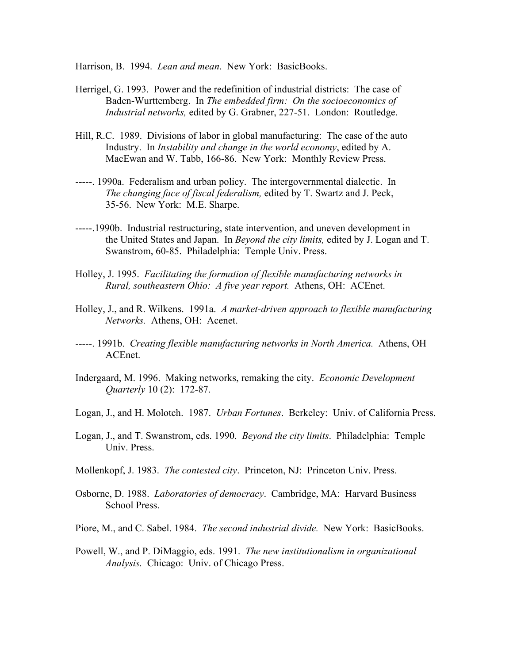Harrison, B. 1994. *Lean and mean*. New York: BasicBooks.

- Herrigel, G. 1993. Power and the redefinition of industrial districts: The case of Baden-Wurttemberg. In *The embedded firm: On the socioeconomics of Industrial networks,* edited by G. Grabner, 227-51. London: Routledge.
- Hill, R.C. 1989. Divisions of labor in global manufacturing: The case of the auto Industry. In *Instability and change in the world economy*, edited by A. MacEwan and W. Tabb, 166-86. New York: Monthly Review Press.
- -----. 1990a. Federalism and urban policy. The intergovernmental dialectic. In *The changing face of fiscal federalism,* edited by T. Swartz and J. Peck, 35-56. New York: M.E. Sharpe.
- -----.1990b. Industrial restructuring, state intervention, and uneven development in the United States and Japan. In *Beyond the city limits,* edited by J. Logan and T. Swanstrom, 60-85. Philadelphia: Temple Univ. Press.
- Holley, J. 1995. *Facilitating the formation of flexible manufacturing networks in Rural, southeastern Ohio: A five year report.* Athens, OH: ACEnet.
- Holley, J., and R. Wilkens. 1991a. *A market-driven approach to flexible manufacturing Networks.* Athens, OH: Acenet.
- -----. 1991b. *Creating flexible manufacturing networks in North America.* Athens, OH ACEnet.
- Indergaard, M. 1996. Making networks, remaking the city. *Economic Development Quarterly* 10 (2): 172-87.
- Logan, J., and H. Molotch. 1987. *Urban Fortunes*. Berkeley: Univ. of California Press.
- Logan, J., and T. Swanstrom, eds. 1990. *Beyond the city limits*. Philadelphia: Temple Univ. Press.
- Mollenkopf, J. 1983. *The contested city*. Princeton, NJ: Princeton Univ. Press.
- Osborne, D. 1988. *Laboratories of democracy*. Cambridge, MA: Harvard Business School Press.
- Piore, M., and C. Sabel. 1984. *The second industrial divide.* New York: BasicBooks.
- Powell, W., and P. DiMaggio, eds. 1991. *The new institutionalism in organizational Analysis.* Chicago: Univ. of Chicago Press.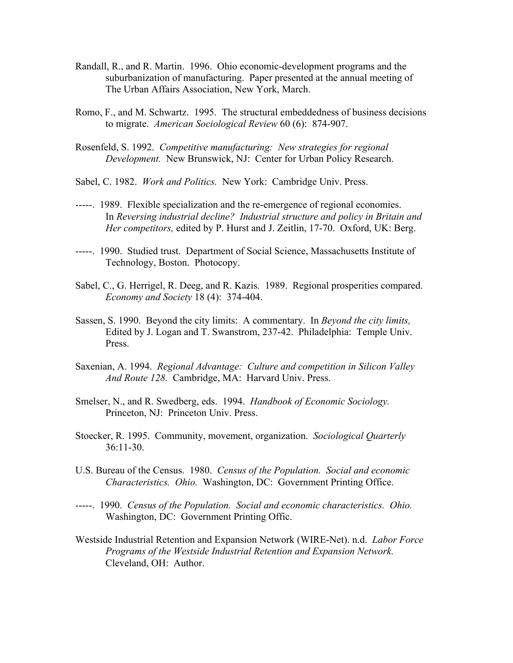- Randall, R., and R. Martin. 1996. Ohio economic-development programs and the suburbanization of manufacturing. Paper presented at the annual meeting of The Urban Affairs Association, New York, March.
- Romo, F., and M. Schwartz. 1995. The structural embeddedness of business decisions to migrate. *American Sociological Review* 60 (6): 874-907.
- Rosenfeld, S. 1992. *Competitive manufacturing: New strategies for regional Development.* New Brunswick, NJ: Center for Urban Policy Research.
- Sabel, C. 1982. *Work and Politics.* New York: Cambridge Univ. Press.
- -----. 1989. Flexible specialization and the re-emergence of regional economies. In *Reversing industrial decline? Industrial structure and policy in Britain and Her competitors,* edited by P. Hurst and J. Zeitlin, 17-70. Oxford, UK: Berg.
- -----. 1990. Studied trust. Department of Social Science, Massachusetts Institute of Technology, Boston. Photocopy.
- Sabel, C., G. Herrigel, R. Deeg, and R. Kazis. 1989. Regional prosperities compared. *Economy and Society* 18 (4): 374-404.
- Sassen, S. 1990. Beyond the city limits: A commentary. In *Beyond the city limits,* Edited by J. Logan and T. Swanstrom, 237-42. Philadelphia: Temple Univ. Press.
- Saxenian, A. 1994. *Regional Advantage: Culture and competition in Silicon Valley And Route 128.* Cambridge, MA: Harvard Univ. Press.
- Smelser, N., and R. Swedberg, eds. 1994. *Handbook of Economic Sociology.* Princeton, NJ: Princeton Univ. Press.
- Stoecker, R. 1995. Community, movement, organization. *Sociological Quarterly* 36:11-30.
- U.S. Bureau of the Census. 1980. *Census of the Population. Social and economic Characteristics. Ohio.* Washington, DC: Government Printing Office.
- -----. 1990. *Census of the Population. Social and economic characteristics. Ohio.* Washington, DC: Government Printing Offic.
- Westside Industrial Retention and Expansion Network (WIRE-Net). n.d. *Labor Force Programs of the Westside Industrial Retention and Expansion Network.* Cleveland, OH: Author.